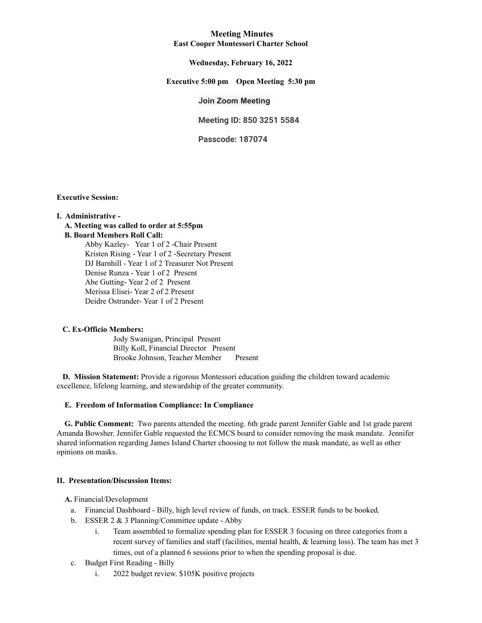### **Meeting Minutes East Cooper Montessori Charter School**

# **Wednesday, February 16, 2022**

# **Executive 5:00 pm Open Meeting 5:30 pm**

#### **Join Zoom Meeting**

**Meeting ID: 850 3251 5584**

**Passcode: 187074**

#### **Executive Session:**

#### **I. Administrative -**

# **A. Meeting was called to order at 5:55pm B. Board Members Roll Call:** Abby Kazley- Year 1 of 2 -Chair Present

Kristen Rising - Year 1 of 2 -Secretary Present DJ Barnhill - Year 1 of 2 Treasurer Not Present Denise Runza - Year 1 of 2 Present Abe Gutting- Year 2 of 2 Present Merissa Elisei- Year 2 of 2 Present Deidre Ostrander- Year 1 of 2 Present

#### **C. Ex-Officio Members:**

Jody Swanigan, Principal Present Billy Koll, Financial Director Present Brooke Johnson, Teacher Member Present

**D. Mission Statement:** Provide a rigorous Montessori education guiding the children toward academic excellence, lifelong learning, and stewardship of the greater community.

#### **E. Freedom of Information Compliance: In Compliance**

**G. Public Comment:** Two parents attended the meeting. 6th grade parent Jennifer Gable and 1st grade parent Amanda Bowsher. Jennifer Gable requested the ECMCS board to consider removing the mask mandate. Jennifer shared information regarding James Island Charter choosing to not follow the mask mandate, as well as other opinions on masks.

#### **II. Presentation/Discussion Items:**

**A.** Financial/Development

- a. Financial Dashboard Billy, high level review of funds, on track. ESSER funds to be booked.
- b. ESSER  $2 \& 3$  Planning/Committee update Abby
	- i. Team assembled to formalize spending plan for ESSER 3 focusing on three categories from a recent survey of families and staff (facilities, mental health, & learning loss). The team has met 3 times, out of a planned 6 sessions prior to when the spending proposal is due.
- c. Budget First Reading Billy
	- i. 2022 budget review. \$105K positive projects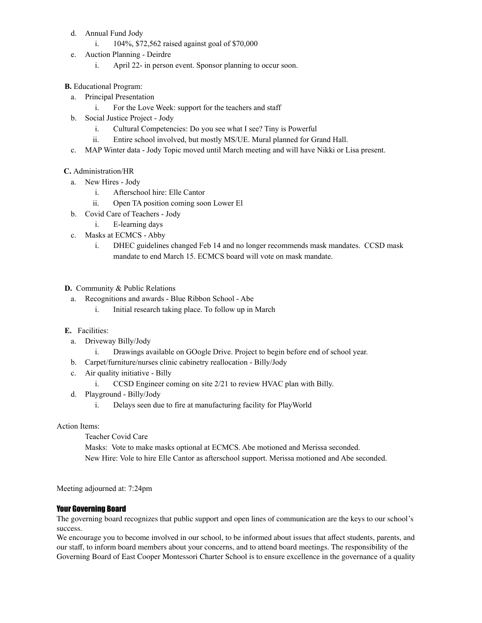- d. Annual Fund Jody
	- i. 104%, \$72,562 raised against goal of \$70,000
- e. Auction Planning Deirdre
	- i. April 22- in person event. Sponsor planning to occur soon.

# **B.** Educational Program:

- a. Principal Presentation
	- i. For the Love Week: support for the teachers and staff
- b. Social Justice Project Jody
	- i. Cultural Competencies: Do you see what I see? Tiny is Powerful
	- ii. Entire school involved, but mostly MS/UE. Mural planned for Grand Hall.
- c. MAP Winter data Jody Topic moved until March meeting and will have Nikki or Lisa present.

# **C.** Administration/HR

- a. New Hires Jody
	- i. Afterschool hire: Elle Cantor
	- ii. Open TA position coming soon Lower El
- b. Covid Care of Teachers Jody
	- i. E-learning days
- c. Masks at ECMCS Abby
	- i. DHEC guidelines changed Feb 14 and no longer recommends mask mandates. CCSD mask mandate to end March 15. ECMCS board will vote on mask mandate.

# **D.** Community & Public Relations

- a. Recognitions and awards Blue Ribbon School Abe
	- i. Initial research taking place. To follow up in March

# **E.** Facilities:

- a. Driveway Billy/Jody
	- i. Drawings available on GOogle Drive. Project to begin before end of school year.
- b. Carpet/furniture/nurses clinic cabinetry reallocation Billy/Jody
- c. Air quality initiative Billy
	- i. CCSD Engineer coming on site 2/21 to review HVAC plan with Billy.
- d. Playground Billy/Jody
	- i. Delays seen due to fire at manufacturing facility for PlayWorld

### Action Items:

Teacher Covid Care

Masks: Vote to make masks optional at ECMCS. Abe motioned and Merissa seconded. New Hire: Vole to hire Elle Cantor as afterschool support. Merissa motioned and Abe seconded.

Meeting adjourned at: 7:24pm

### Your Governing Board

The governing board recognizes that public support and open lines of communication are the keys to our school's success.

We encourage you to become involved in our school, to be informed about issues that affect students, parents, and our staff, to inform board members about your concerns, and to attend board meetings. The responsibility of the Governing Board of East Cooper Montessori Charter School is to ensure excellence in the governance of a quality